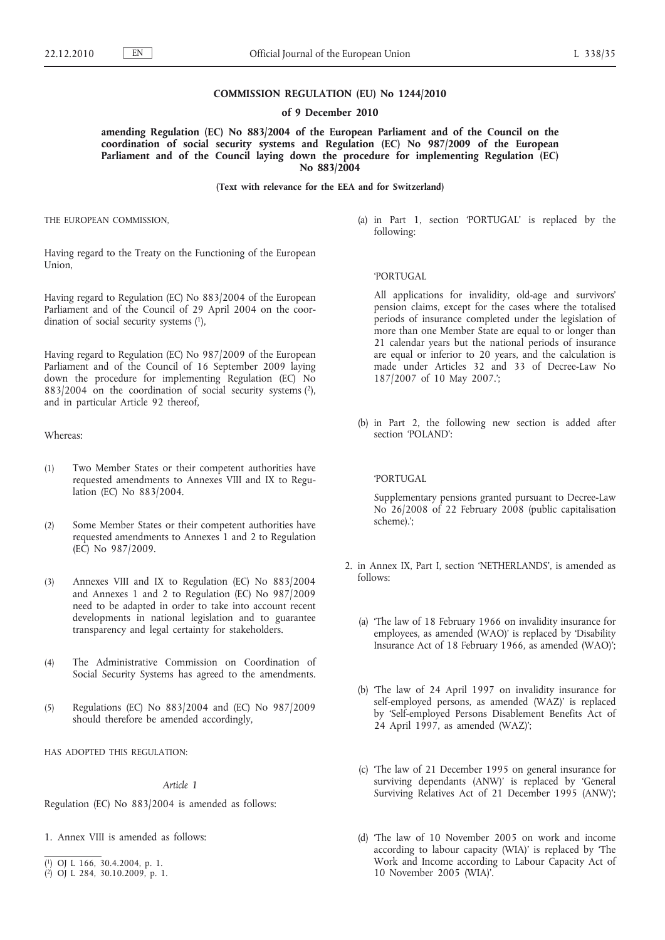## **COMMISSION REGULATION (EU) No 1244/2010**

#### **of 9 December 2010**

**amending Regulation (EC) No 883/2004 of the European Parliament and of the Council on the coordination of social security systems and Regulation (EC) No 987/2009 of the European**  Parliament and of the Council laying down the procedure for implementing Regulation (EC) **No 883/2004**

## **(Text with relevance for the EEA and for Switzerland)**

THE EUROPEAN COMMISSION,

Having regard to the Treaty on the Functioning of the European Union,

Having regard to Regulation (EC) No 883/2004 of the European Parliament and of the Council of 29 April 2004 on the coordination of social security systems (1),

Having regard to Regulation (EC) No 987/2009 of the European Parliament and of the Council of 16 September 2009 laying down the procedure for implementing Regulation (EC) No  $883/2004$  on the coordination of social security systems  $(2)$ , and in particular Article 92 thereof,

Whereas:

- (1) Two Member States or their competent authorities have requested amendments to Annexes VIII and IX to Regulation (EC) No 883/2004.
- (2) Some Member States or their competent authorities have requested amendments to Annexes 1 and 2 to Regulation (EC) No 987/2009.
- (3) Annexes VIII and IX to Regulation (EC) No 883/2004 and Annexes 1 and 2 to Regulation (EC) No 987/2009 need to be adapted in order to take into account recent developments in national legislation and to guarantee transparency and legal certainty for stakeholders.
- (4) The Administrative Commission on Coordination of Social Security Systems has agreed to the amendments.
- (5) Regulations (EC) No 883/2004 and (EC) No 987/2009 should therefore be amended accordingly,
- HAS ADOPTED THIS REGULATION:

## *Article 1*

Regulation (EC) No 883/2004 is amended as follows:

- 1. Annex VIII is amended as follows:
- ( 1) OJ L 166, 30.4.2004, p. 1.
- ( 2) OJ L 284, 30.10.2009, p. 1.

(a) in Part 1, section 'PORTUGAL' is replaced by the following:

# 'PORTUGAL

All applications for invalidity, old-age and survivors' pension claims, except for the cases where the totalised periods of insurance completed under the legislation of more than one Member State are equal to or longer than 21 calendar years but the national periods of insurance are equal or inferior to 20 years, and the calculation is made under Articles 32 and 33 of Decree-Law No 187/2007 of 10 May 2007.';

(b) in Part 2, the following new section is added after section 'POLAND':

## 'PORTUGAL

Supplementary pensions granted pursuant to Decree-Law No 26/2008 of 22 February 2008 (public capitalisation scheme).';

- 2. in Annex IX, Part I, section 'NETHERLANDS', is amended as follows:
	- (a) 'The law of 18 February 1966 on invalidity insurance for employees, as amended (WAO)' is replaced by 'Disability Insurance Act of 18 February 1966, as amended (WAO)';
	- (b) 'The law of 24 April 1997 on invalidity insurance for self-employed persons, as amended (WAZ)' is replaced by 'Self-employed Persons Disablement Benefits Act of 24 April 1997, as amended (WAZ)';
	- (c) 'The law of 21 December 1995 on general insurance for surviving dependants (ANW)' is replaced by 'General Surviving Relatives Act of 21 December 1995 (ANW)';
	- (d) 'The law of 10 November 2005 on work and income according to labour capacity (WIA)' is replaced by 'The Work and Income according to Labour Capacity Act of 10 November 2005 (WIA)'.